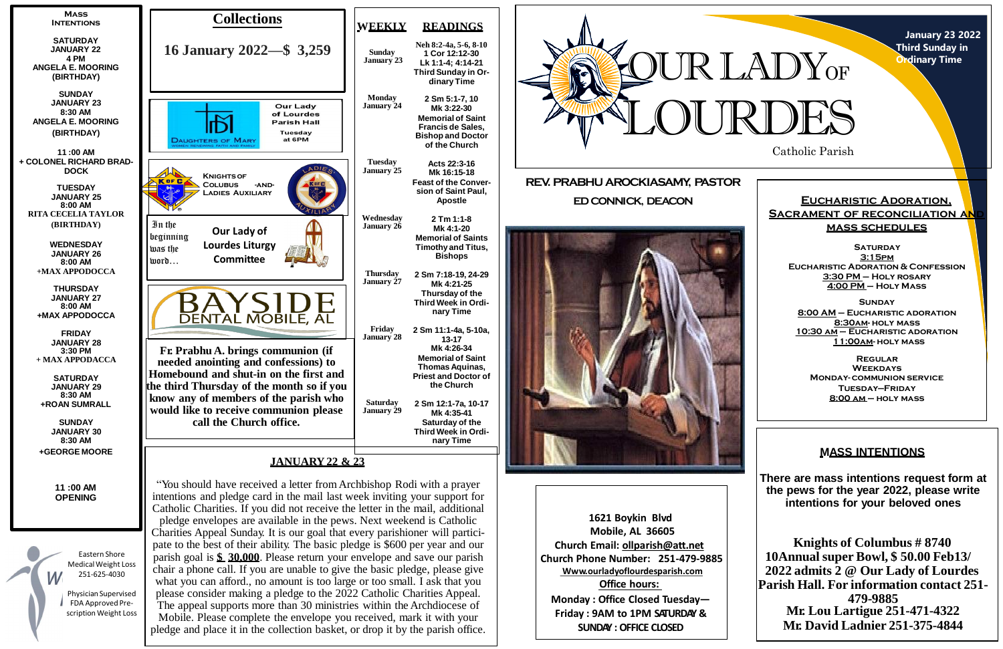**January 23 2022 Third Sunday in Ordinary Time**

### **Eucharistic Adoration, SACRAMENT OF RECONCILIATION AN mass schedules**

**SATURDAY 3:15pm Eucharistic Adoration & Confession 3:30 PM – Holy rosary 4:00 PM – Holy Mass**



**Sunday 8:00 AM – Eucharistic adoration 8:30am- holy mass 10:30 am – Eucharistic adoration 11:00am- holy mass**

**Regular Weekdays Monday- communion service Tuesday—Friday 8:00 am – holy mass**

**1621 Boykin Blvd Mobile, AL 36605 Church Email: [ollparish@att.net](mailto:ollparish@att.net) Church Phone Number: 251-479-9885 Www.ourladyoflourdesparish.com Office hours: Monday : Office Closed Tuesday— Friday : 9AM to 1PM SATURDAY & SUNDAY : OFFICE CLOSED**



## **MASS INTENTIONS**

**There are mass intentions request form at the pews for the year 2022, please write intentions for your beloved ones**

**Knights of Columbus # 8740 10Annual super Bowl, \$ 50.00 Feb13/ 2022 admits 2 @ Our Lady of Lourdes Parish Hall. For information contact 251- 479-9885 Mr. Lou Lartigue 251-471-4322 Mr. David Ladnier 251-375-4844**